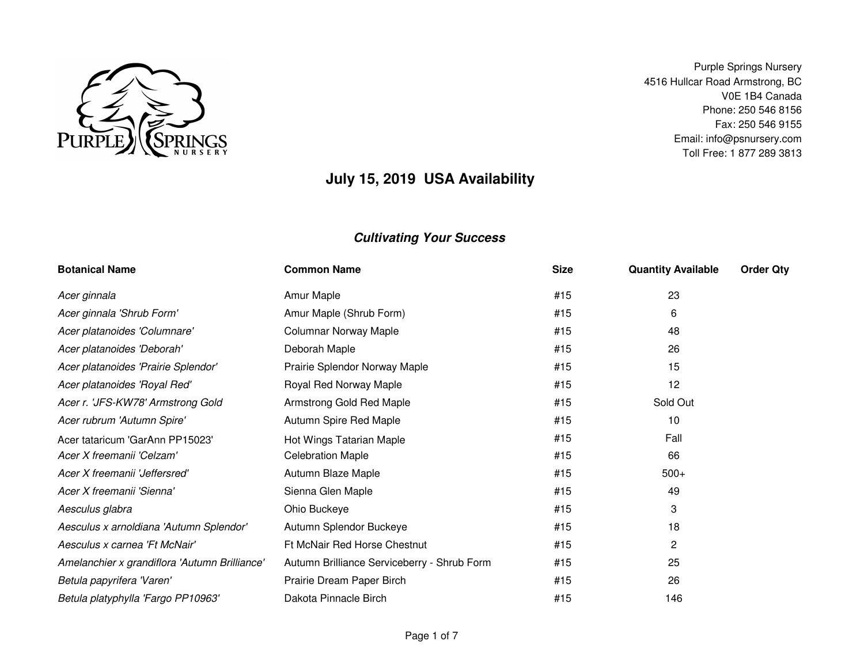

Purple Springs Nursery 4516 Hullcar Road Armstrong, BC V0E 1B4 Canada Phone: 250 546 8156 Fax: 250 546 9155 Email: info@psnursery.comToll Free: 1 877 289 3813

# **July 15, 2019 USA Availability**

| <b>Botanical Name</b>                         | <b>Common Name</b>                          | <b>Size</b> | <b>Quantity Available</b> | <b>Order Qty</b> |
|-----------------------------------------------|---------------------------------------------|-------------|---------------------------|------------------|
| Acer ginnala                                  | Amur Maple                                  | #15         | 23                        |                  |
| Acer ginnala 'Shrub Form'                     | Amur Maple (Shrub Form)                     | #15         | 6                         |                  |
| Acer platanoides 'Columnare'                  | <b>Columnar Norway Maple</b>                | #15         | 48                        |                  |
| Acer platanoides 'Deborah'                    | Deborah Maple                               | #15         | 26                        |                  |
| Acer platanoides 'Prairie Splendor'           | Prairie Splendor Norway Maple               | #15         | 15                        |                  |
| Acer platanoides 'Royal Red'                  | Royal Red Norway Maple                      | #15         | 12                        |                  |
| Acer r. 'JFS-KW78' Armstrong Gold             | Armstrong Gold Red Maple                    | #15         | Sold Out                  |                  |
| Acer rubrum 'Autumn Spire'                    | Autumn Spire Red Maple                      | #15         | 10                        |                  |
| Acer tataricum 'GarAnn PP15023'               | Hot Wings Tatarian Maple                    | #15         | Fall                      |                  |
| Acer X freemanii 'Celzam'                     | <b>Celebration Maple</b>                    | #15         | 66                        |                  |
| Acer X freemanii 'Jeffersred'                 | Autumn Blaze Maple                          | #15         | $500+$                    |                  |
| Acer X freemanii 'Sienna'                     | Sienna Glen Maple                           | #15         | 49                        |                  |
| Aesculus glabra                               | Ohio Buckeye                                | #15         | 3                         |                  |
| Aesculus x arnoldiana 'Autumn Splendor'       | Autumn Splendor Buckeye                     | #15         | 18                        |                  |
| Aesculus x carnea 'Ft McNair'                 | Ft McNair Red Horse Chestnut                | #15         | 2                         |                  |
| Amelanchier x grandiflora 'Autumn Brilliance' | Autumn Brilliance Serviceberry - Shrub Form | #15         | 25                        |                  |
| Betula papyrifera 'Varen'                     | Prairie Dream Paper Birch                   | #15         | 26                        |                  |
| Betula platyphylla 'Fargo PP10963'            | Dakota Pinnacle Birch                       | #15         | 146                       |                  |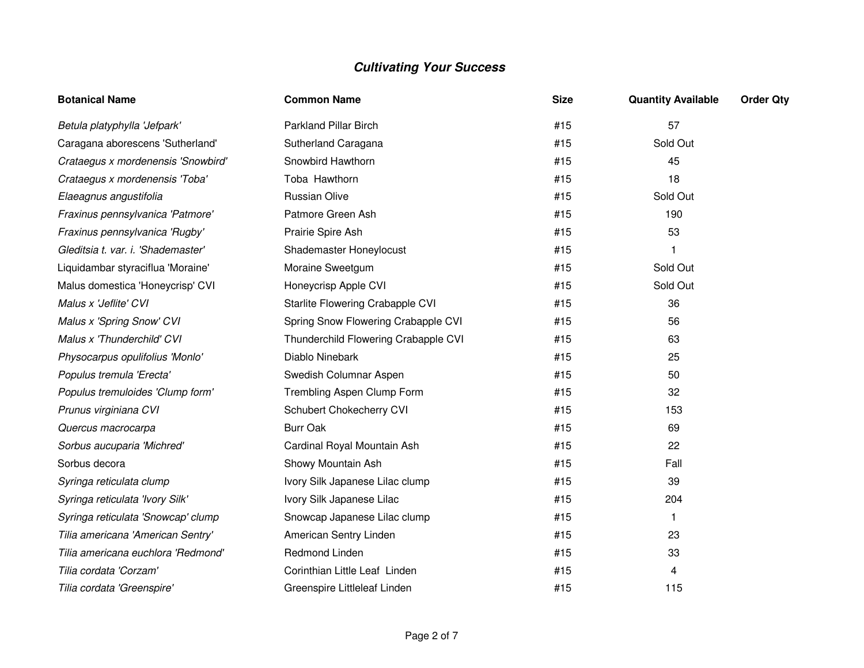| <b>Botanical Name</b>              | <b>Common Name</b>                   | <b>Size</b> | <b>Quantity Available</b> | <b>Order Qty</b> |
|------------------------------------|--------------------------------------|-------------|---------------------------|------------------|
| Betula platyphylla 'Jefpark'       | Parkland Pillar Birch                | #15         | 57                        |                  |
| Caragana aborescens 'Sutherland'   | Sutherland Caragana                  | #15         | Sold Out                  |                  |
| Crataegus x mordenensis 'Snowbird' | Snowbird Hawthorn                    | #15         | 45                        |                  |
| Crataegus x mordenensis 'Toba'     | Toba Hawthorn                        | #15         | 18                        |                  |
| Elaeagnus angustifolia             | Russian Olive                        | #15         | Sold Out                  |                  |
| Fraxinus pennsylvanica 'Patmore'   | Patmore Green Ash                    | #15         | 190                       |                  |
| Fraxinus pennsylvanica 'Rugby'     | Prairie Spire Ash                    | #15         | 53                        |                  |
| Gleditsia t. var. i. 'Shademaster' | Shademaster Honeylocust              | #15         |                           |                  |
| Liquidambar styraciflua 'Moraine'  | Moraine Sweetgum                     | #15         | Sold Out                  |                  |
| Malus domestica 'Honeycrisp' CVI   | Honeycrisp Apple CVI                 | #15         | Sold Out                  |                  |
| Malus x 'Jeflite' CVI              | Starlite Flowering Crabapple CVI     | #15         | 36                        |                  |
| Malus x 'Spring Snow' CVI          | Spring Snow Flowering Crabapple CVI  | #15         | 56                        |                  |
| Malus x 'Thunderchild' CVI         | Thunderchild Flowering Crabapple CVI | #15         | 63                        |                  |
| Physocarpus opulifolius 'Monlo'    | Diablo Ninebark                      | #15         | 25                        |                  |
| Populus tremula 'Erecta'           | Swedish Columnar Aspen               | #15         | 50                        |                  |
| Populus tremuloides 'Clump form'   | Trembling Aspen Clump Form           | #15         | 32                        |                  |
| Prunus virginiana CVI              | Schubert Chokecherry CVI             | #15         | 153                       |                  |
| Quercus macrocarpa                 | <b>Burr Oak</b>                      | #15         | 69                        |                  |
| Sorbus aucuparia 'Michred'         | Cardinal Royal Mountain Ash          | #15         | 22                        |                  |
| Sorbus decora                      | Showy Mountain Ash                   | #15         | Fall                      |                  |
| Syringa reticulata clump           | Ivory Silk Japanese Lilac clump      | #15         | 39                        |                  |
| Syringa reticulata 'Ivory Silk'    | Ivory Silk Japanese Lilac            | #15         | 204                       |                  |
| Syringa reticulata 'Snowcap' clump | Snowcap Japanese Lilac clump         | #15         | 1.                        |                  |
| Tilia americana 'American Sentry'  | American Sentry Linden               | #15         | 23                        |                  |
| Tilia americana euchlora 'Redmond' | Redmond Linden                       | #15         | 33                        |                  |
| Tilia cordata 'Corzam'             | Corinthian Little Leaf Linden        | #15         | 4                         |                  |
| Tilia cordata 'Greenspire'         | Greenspire Littleleaf Linden         | #15         | 115                       |                  |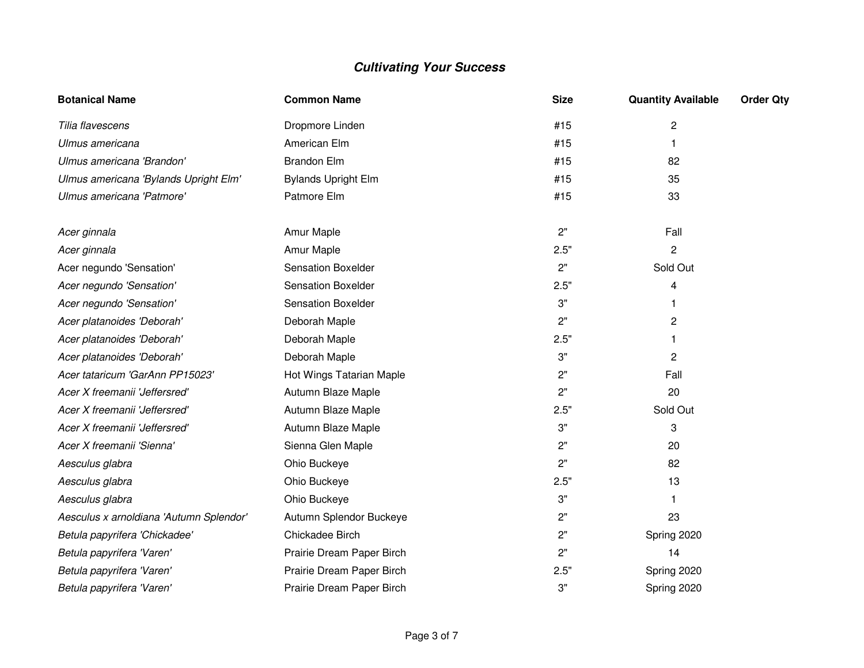| <b>Botanical Name</b>                   | <b>Common Name</b>         | <b>Size</b> | <b>Quantity Available</b> | <b>Order Qty</b> |
|-----------------------------------------|----------------------------|-------------|---------------------------|------------------|
| Tilia flavescens                        | Dropmore Linden            | #15         | 2                         |                  |
| Ulmus americana                         | American Elm               | #15         | 1.                        |                  |
| Ulmus americana 'Brandon'               | <b>Brandon Elm</b>         | #15         | 82                        |                  |
| Ulmus americana 'Bylands Upright Elm'   | <b>Bylands Upright Elm</b> | #15         | 35                        |                  |
| Ulmus americana 'Patmore'               | Patmore Elm                | #15         | 33                        |                  |
| Acer ginnala                            | Amur Maple                 | 2"          | Fall                      |                  |
| Acer ginnala                            | Amur Maple                 | 2.5"        | $\overline{2}$            |                  |
| Acer negundo 'Sensation'                | <b>Sensation Boxelder</b>  | 2"          | Sold Out                  |                  |
| Acer negundo 'Sensation'                | <b>Sensation Boxelder</b>  | 2.5"        | 4                         |                  |
| Acer negundo 'Sensation'                | <b>Sensation Boxelder</b>  | 3"          | 1.                        |                  |
| Acer platanoides 'Deborah'              | Deborah Maple              | 2"          | 2                         |                  |
| Acer platanoides 'Deborah'              | Deborah Maple              | 2.5"        |                           |                  |
| Acer platanoides 'Deborah'              | Deborah Maple              | 3"          | $\overline{c}$            |                  |
| Acer tataricum 'GarAnn PP15023'         | Hot Wings Tatarian Maple   | 2"          | Fall                      |                  |
| Acer X freemanii 'Jeffersred'           | Autumn Blaze Maple         | 2"          | 20                        |                  |
| Acer X freemanii 'Jeffersred'           | Autumn Blaze Maple         | 2.5"        | Sold Out                  |                  |
| Acer X freemanii 'Jeffersred'           | Autumn Blaze Maple         | 3"          | 3                         |                  |
| Acer X freemanii 'Sienna'               | Sienna Glen Maple          | 2"          | 20                        |                  |
| Aesculus glabra                         | Ohio Buckeye               | 2"          | 82                        |                  |
| Aesculus glabra                         | Ohio Buckeye               | 2.5"        | 13                        |                  |
| Aesculus glabra                         | Ohio Buckeye               | 3"          | 1.                        |                  |
| Aesculus x arnoldiana 'Autumn Splendor' | Autumn Splendor Buckeye    | 2"          | 23                        |                  |
| Betula papyrifera 'Chickadee'           | Chickadee Birch            | 2"          | Spring 2020               |                  |
| Betula papyrifera 'Varen'               | Prairie Dream Paper Birch  | 2"          | 14                        |                  |
| Betula papyrifera 'Varen'               | Prairie Dream Paper Birch  | 2.5"        | Spring 2020               |                  |
| Betula papyrifera 'Varen'               | Prairie Dream Paper Birch  | 3"          | Spring 2020               |                  |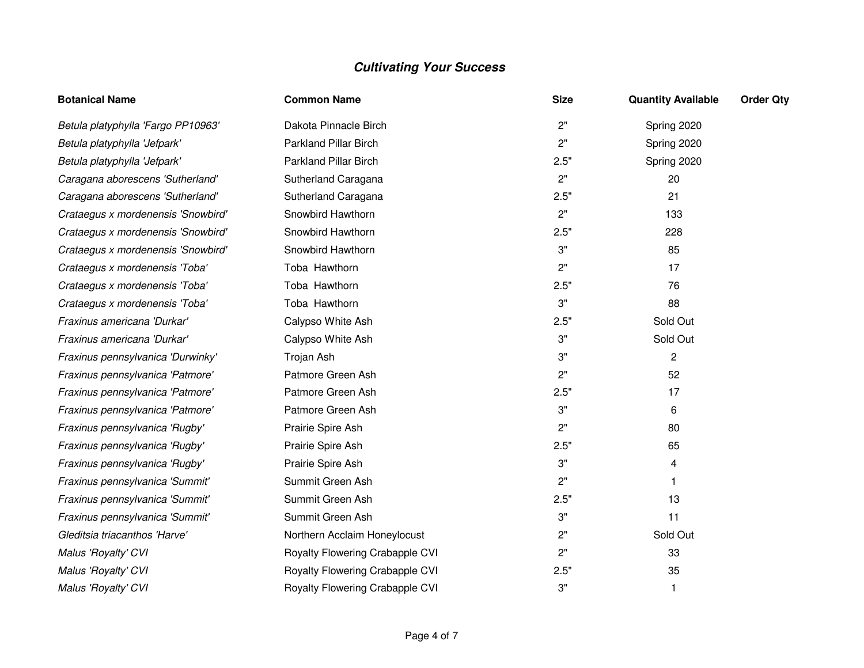| <b>Botanical Name</b>              | <b>Common Name</b>              | <b>Size</b> | <b>Quantity Available</b> | <b>Order Qty</b> |
|------------------------------------|---------------------------------|-------------|---------------------------|------------------|
| Betula platyphylla 'Fargo PP10963' | Dakota Pinnacle Birch           | 2"          | Spring 2020               |                  |
| Betula platyphylla 'Jefpark'       | Parkland Pillar Birch           | 2"          | Spring 2020               |                  |
| Betula platyphylla 'Jefpark'       | <b>Parkland Pillar Birch</b>    | 2.5"        | Spring 2020               |                  |
| Caragana aborescens 'Sutherland'   | Sutherland Caragana             | 2"          | 20                        |                  |
| Caragana aborescens 'Sutherland'   | Sutherland Caragana             | 2.5"        | 21                        |                  |
| Crataegus x mordenensis 'Snowbird' | Snowbird Hawthorn               | 2"          | 133                       |                  |
| Crataegus x mordenensis 'Snowbird' | Snowbird Hawthorn               | 2.5"        | 228                       |                  |
| Crataegus x mordenensis 'Snowbird' | Snowbird Hawthorn               | 3"          | 85                        |                  |
| Crataegus x mordenensis 'Toba'     | Toba Hawthorn                   | 2"          | 17                        |                  |
| Crataegus x mordenensis 'Toba'     | Toba Hawthorn                   | 2.5"        | 76                        |                  |
| Crataegus x mordenensis 'Toba'     | Toba Hawthorn                   | 3"          | 88                        |                  |
| Fraxinus americana 'Durkar'        | Calypso White Ash               | 2.5"        | Sold Out                  |                  |
| Fraxinus americana 'Durkar'        | Calypso White Ash               | 3"          | Sold Out                  |                  |
| Fraxinus pennsylvanica 'Durwinky'  | Trojan Ash                      | 3"          | 2                         |                  |
| Fraxinus pennsylvanica 'Patmore'   | Patmore Green Ash               | 2"          | 52                        |                  |
| Fraxinus pennsylvanica 'Patmore'   | Patmore Green Ash               | 2.5"        | 17                        |                  |
| Fraxinus pennsylvanica 'Patmore'   | Patmore Green Ash               | 3"          | 6                         |                  |
| Fraxinus pennsylvanica 'Rugby'     | Prairie Spire Ash               | 2"          | 80                        |                  |
| Fraxinus pennsylvanica 'Rugby'     | Prairie Spire Ash               | 2.5"        | 65                        |                  |
| Fraxinus pennsylvanica 'Rugby'     | Prairie Spire Ash               | 3"          | 4                         |                  |
| Fraxinus pennsylvanica 'Summit'    | Summit Green Ash                | 2"          | 1                         |                  |
| Fraxinus pennsylvanica 'Summit'    | Summit Green Ash                | 2.5"        | 13                        |                  |
| Fraxinus pennsylvanica 'Summit'    | Summit Green Ash                | 3"          | 11                        |                  |
| Gleditsia triacanthos 'Harve'      | Northern Acclaim Honeylocust    | 2"          | Sold Out                  |                  |
| Malus 'Royalty' CVI                | Royalty Flowering Crabapple CVI | 2"          | 33                        |                  |
| Malus 'Royalty' CVI                | Royalty Flowering Crabapple CVI | 2.5"        | 35                        |                  |
| Malus 'Royalty' CVI                | Royalty Flowering Crabapple CVI | 3"          | 1                         |                  |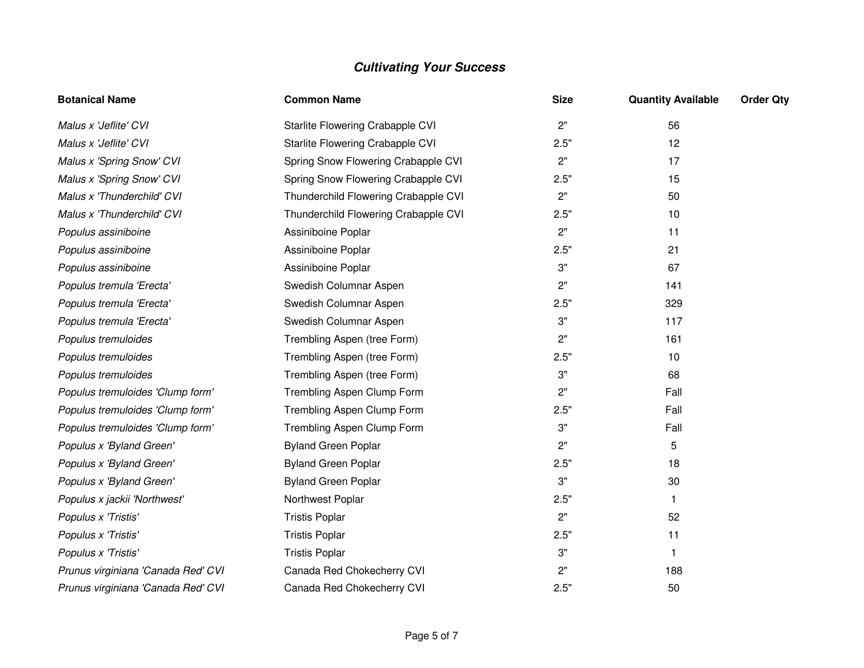| <b>Botanical Name</b>              | <b>Common Name</b>                   | <b>Size</b> | <b>Quantity Available</b> | <b>Order Qty</b> |
|------------------------------------|--------------------------------------|-------------|---------------------------|------------------|
| Malus x 'Jeflite' CVI              | Starlite Flowering Crabapple CVI     | 2"          | 56                        |                  |
| Malus x 'Jeflite' CVI              | Starlite Flowering Crabapple CVI     | 2.5"        | 12                        |                  |
| Malus x 'Spring Snow' CVI          | Spring Snow Flowering Crabapple CVI  | 2"          | 17                        |                  |
| Malus x 'Spring Snow' CVI          | Spring Snow Flowering Crabapple CVI  | 2.5"        | 15                        |                  |
| Malus x 'Thunderchild' CVI         | Thunderchild Flowering Crabapple CVI | 2"          | 50                        |                  |
| Malus x 'Thunderchild' CVI         | Thunderchild Flowering Crabapple CVI | 2.5"        | 10                        |                  |
| Populus assiniboine                | Assiniboine Poplar                   | 2"          | 11                        |                  |
| Populus assiniboine                | Assiniboine Poplar                   | 2.5"        | 21                        |                  |
| Populus assiniboine                | Assiniboine Poplar                   | 3"          | 67                        |                  |
| Populus tremula 'Erecta'           | Swedish Columnar Aspen               | 2"          | 141                       |                  |
| Populus tremula 'Erecta'           | Swedish Columnar Aspen               | 2.5"        | 329                       |                  |
| Populus tremula 'Erecta'           | Swedish Columnar Aspen               | 3"          | 117                       |                  |
| Populus tremuloides                | Trembling Aspen (tree Form)          | 2"          | 161                       |                  |
| Populus tremuloides                | Trembling Aspen (tree Form)          | 2.5"        | 10                        |                  |
| Populus tremuloides                | Trembling Aspen (tree Form)          | 3"          | 68                        |                  |
| Populus tremuloides 'Clump form'   | Trembling Aspen Clump Form           | 2"          | Fall                      |                  |
| Populus tremuloides 'Clump form'   | Trembling Aspen Clump Form           | 2.5"        | Fall                      |                  |
| Populus tremuloides 'Clump form'   | Trembling Aspen Clump Form           | 3"          | Fall                      |                  |
| Populus x 'Byland Green'           | <b>Byland Green Poplar</b>           | 2"          | 5                         |                  |
| Populus x 'Byland Green'           | <b>Byland Green Poplar</b>           | 2.5"        | 18                        |                  |
| Populus x 'Byland Green'           | <b>Byland Green Poplar</b>           | 3"          | 30                        |                  |
| Populus x jackii 'Northwest'       | Northwest Poplar                     | 2.5"        | 1.                        |                  |
| Populus x 'Tristis'                | <b>Tristis Poplar</b>                | 2"          | 52                        |                  |
| Populus x 'Tristis'                | <b>Tristis Poplar</b>                | 2.5"        | 11                        |                  |
| Populus x 'Tristis'                | <b>Tristis Poplar</b>                | 3"          | 1.                        |                  |
| Prunus virginiana 'Canada Red' CVI | Canada Red Chokecherry CVI           | 2"          | 188                       |                  |
| Prunus virginiana 'Canada Red' CVI | Canada Red Chokecherry CVI           | 2.5"        | 50                        |                  |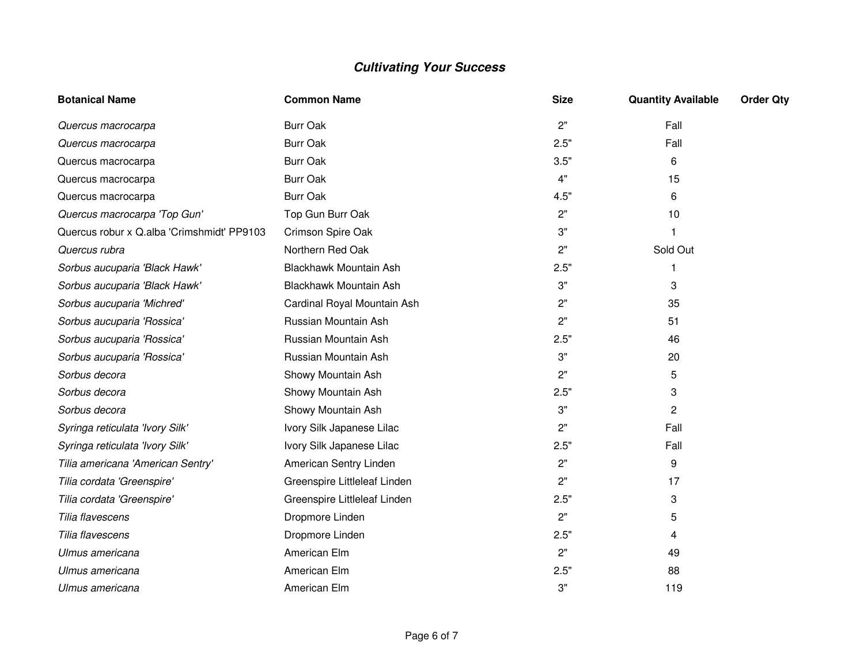| <b>Botanical Name</b>                      | <b>Common Name</b>           | <b>Size</b> | <b>Quantity Available</b> | <b>Order Qty</b> |
|--------------------------------------------|------------------------------|-------------|---------------------------|------------------|
| Quercus macrocarpa                         | <b>Burr Oak</b>              | 2"          | Fall                      |                  |
| Quercus macrocarpa                         | <b>Burr Oak</b>              | 2.5"        | Fall                      |                  |
| Quercus macrocarpa                         | <b>Burr Oak</b>              | 3.5"        | 6                         |                  |
| Quercus macrocarpa                         | <b>Burr Oak</b>              | 4"          | 15                        |                  |
| Quercus macrocarpa                         | <b>Burr Oak</b>              | 4.5"        | 6                         |                  |
| Quercus macrocarpa 'Top Gun'               | Top Gun Burr Oak             | 2"          | 10                        |                  |
| Quercus robur x Q.alba 'Crimshmidt' PP9103 | Crimson Spire Oak            | 3"          | 1                         |                  |
| Quercus rubra                              | Northern Red Oak             | 2"          | Sold Out                  |                  |
| Sorbus aucuparia 'Black Hawk'              | Blackhawk Mountain Ash       | 2.5"        |                           |                  |
| Sorbus aucuparia 'Black Hawk'              | Blackhawk Mountain Ash       | 3"          | 3                         |                  |
| Sorbus aucuparia 'Michred'                 | Cardinal Royal Mountain Ash  | 2"          | 35                        |                  |
| Sorbus aucuparia 'Rossica'                 | Russian Mountain Ash         | 2"          | 51                        |                  |
| Sorbus aucuparia 'Rossica'                 | Russian Mountain Ash         | 2.5"        | 46                        |                  |
| Sorbus aucuparia 'Rossica'                 | Russian Mountain Ash         | 3"          | 20                        |                  |
| Sorbus decora                              | Showy Mountain Ash           | 2"          | 5                         |                  |
| Sorbus decora                              | Showy Mountain Ash           | 2.5"        | 3                         |                  |
| Sorbus decora                              | Showy Mountain Ash           | 3"          | $\overline{c}$            |                  |
| Syringa reticulata 'Ivory Silk'            | Ivory Silk Japanese Lilac    | 2"          | Fall                      |                  |
| Syringa reticulata 'Ivory Silk'            | Ivory Silk Japanese Lilac    | 2.5"        | Fall                      |                  |
| Tilia americana 'American Sentry'          | American Sentry Linden       | 2"          | 9                         |                  |
| Tilia cordata 'Greenspire'                 | Greenspire Littleleaf Linden | 2"          | 17                        |                  |
| Tilia cordata 'Greenspire'                 | Greenspire Littleleaf Linden | 2.5"        | 3                         |                  |
| Tilia flavescens                           | Dropmore Linden              | 2"          | 5                         |                  |
| Tilia flavescens                           | Dropmore Linden              | 2.5"        | 4                         |                  |
| Ulmus americana                            | American Elm                 | 2"          | 49                        |                  |
| Ulmus americana                            | American Elm                 | 2.5"        | 88                        |                  |
| Ulmus americana                            | American Elm                 | 3"          | 119                       |                  |
|                                            |                              |             |                           |                  |